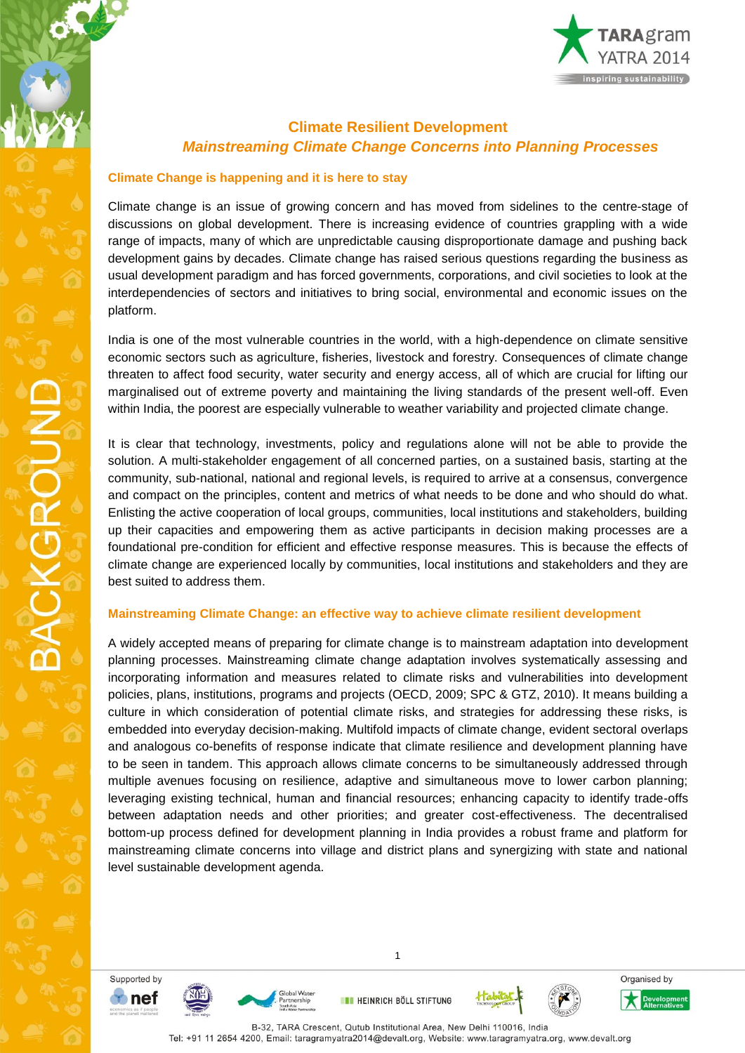

# **Climate Resilient Development** *Mainstreaming Climate Change Concerns into Planning Processes*

#### **Climate Change is happening and it is here to stay**

Climate change is an issue of growing concern and has moved from sidelines to the centre-stage of discussions on global development. There is increasing evidence of countries grappling with a wide range of impacts, many of which are unpredictable causing disproportionate damage and pushing back development gains by decades. Climate change has raised serious questions regarding the business as usual development paradigm and has forced governments, corporations, and civil societies to look at the interdependencies of sectors and initiatives to bring social, environmental and economic issues on the platform.

India is one of the most vulnerable countries in the world, with a high-dependence on climate sensitive economic sectors such as agriculture, fisheries, livestock and forestry. Consequences of climate change threaten to affect food security, water security and energy access, all of which are crucial for lifting our marginalised out of extreme poverty and maintaining the living standards of the present well-off. Even within India, the poorest are especially vulnerable to weather variability and projected climate change.

It is clear that technology, investments, policy and regulations alone will not be able to provide the solution. A multi-stakeholder engagement of all concerned parties, on a sustained basis, starting at the community, sub-national, national and regional levels, is required to arrive at a consensus, convergence and compact on the principles, content and metrics of what needs to be done and who should do what. Enlisting the active cooperation of local groups, communities, local institutions and stakeholders, building up their capacities and empowering them as active participants in decision making processes are a foundational pre-condition for efficient and effective response measures. This is because the effects of climate change are experienced locally by communities, local institutions and stakeholders and they are best suited to address them.

#### **Mainstreaming Climate Change: an effective way to achieve climate resilient development**

A widely accepted means of preparing for climate change is to mainstream adaptation into development planning processes. Mainstreaming climate change adaptation involves systematically assessing and incorporating information and measures related to climate risks and vulnerabilities into development policies, plans, institutions, programs and projects (OECD, 2009; SPC & GTZ, 2010). It means building a culture in which consideration of potential climate risks, and strategies for addressing these risks, is embedded into everyday decision-making. Multifold impacts of climate change, evident sectoral overlaps and analogous co-benefits of response indicate that climate resilience and development planning have to be seen in tandem. This approach allows climate concerns to be simultaneously addressed through multiple avenues focusing on resilience, adaptive and simultaneous move to lower carbon planning; leveraging existing technical, human and financial resources; enhancing capacity to identify trade-offs between adaptation needs and other priorities; and greater cost-effectiveness. The decentralised bottom-up process defined for development planning in India provides a robust frame and platform for mainstreaming climate concerns into village and district plans and synergizing with state and national level sustainable development agenda.

Supported by  $\bullet$  nef

**BACKGROUND** 





**EN HEINRICH BÖLL STIFTUNG** 

1





Organised by